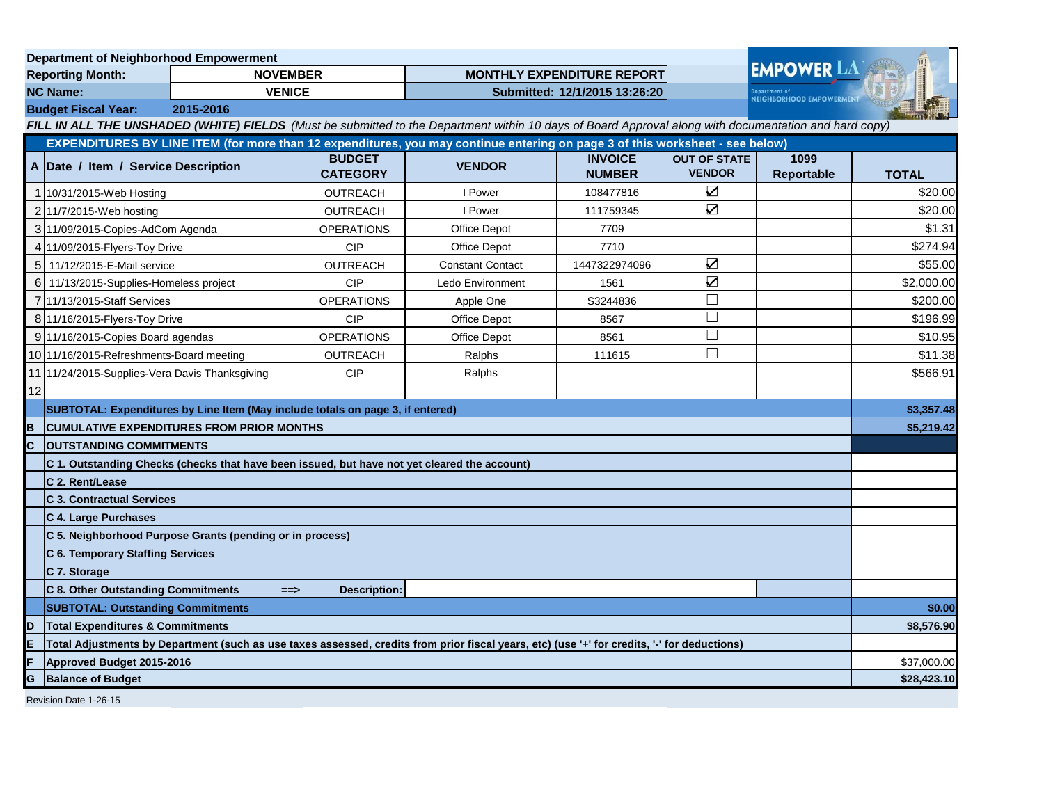|                                                                                                                              | <b>Department of Neighborhood Empowerment</b>                                                                                                |                                                  |                                  |                                                                                                                                                       |                                 |                                                 |                    |              |
|------------------------------------------------------------------------------------------------------------------------------|----------------------------------------------------------------------------------------------------------------------------------------------|--------------------------------------------------|----------------------------------|-------------------------------------------------------------------------------------------------------------------------------------------------------|---------------------------------|-------------------------------------------------|--------------------|--------------|
| <b>Reporting Month:</b>                                                                                                      |                                                                                                                                              | <b>NOVEMBER</b>                                  |                                  | <b>MONTHLY EXPENDITURE REPORT</b>                                                                                                                     |                                 |                                                 | <b>EMPOWER LA</b>  |              |
| <b>NC Name:</b><br><b>VENICE</b>                                                                                             |                                                                                                                                              |                                                  | Submitted: 12/1/2015 13:26:20    |                                                                                                                                                       |                                 | epartment of<br><b>NEIGHBORHOOD EMPOWERMENT</b> |                    |              |
|                                                                                                                              | <b>Budget Fiscal Year:</b><br>2015-2016                                                                                                      |                                                  |                                  |                                                                                                                                                       |                                 |                                                 |                    |              |
|                                                                                                                              |                                                                                                                                              |                                                  |                                  | FILL IN ALL THE UNSHADED (WHITE) FIELDS (Must be submitted to the Department within 10 days of Board Approval along with documentation and hard copy) |                                 |                                                 |                    |              |
| EXPENDITURES BY LINE ITEM (for more than 12 expenditures, you may continue entering on page 3 of this worksheet - see below) |                                                                                                                                              |                                                  |                                  |                                                                                                                                                       |                                 |                                                 |                    |              |
|                                                                                                                              | A Date / Item / Service Description                                                                                                          |                                                  | <b>BUDGET</b><br><b>CATEGORY</b> | <b>VENDOR</b>                                                                                                                                         | <b>INVOICE</b><br><b>NUMBER</b> | <b>OUT OF STATE</b><br><b>VENDOR</b>            | 1099<br>Reportable | <b>TOTAL</b> |
|                                                                                                                              | 10/31/2015-Web Hosting                                                                                                                       |                                                  | <b>OUTREACH</b>                  | I Power                                                                                                                                               | 108477816                       | $\triangledown$                                 |                    | \$20.00      |
|                                                                                                                              | 2 11/7/2015-Web hosting                                                                                                                      |                                                  | <b>OUTREACH</b>                  | I Power                                                                                                                                               | 111759345                       | $\sum$                                          |                    | \$20.00      |
|                                                                                                                              | 3 11/09/2015 Copies-AdCom Agenda                                                                                                             |                                                  | <b>OPERATIONS</b>                | Office Depot                                                                                                                                          | 7709                            |                                                 |                    | \$1.31       |
|                                                                                                                              | 4 11/09/2015-Flyers-Toy Drive                                                                                                                |                                                  | <b>CIP</b>                       | Office Depot                                                                                                                                          | 7710                            |                                                 |                    | \$274.94     |
|                                                                                                                              | 5 11/12/2015-E-Mail service                                                                                                                  |                                                  | <b>OUTREACH</b>                  | <b>Constant Contact</b>                                                                                                                               | 1447322974096                   | $\sum$                                          |                    | \$55.00      |
|                                                                                                                              | 6 11/13/2015-Supplies-Homeless project                                                                                                       |                                                  | <b>CIP</b>                       | Ledo Environment                                                                                                                                      | 1561                            | $\sum$                                          |                    | \$2,000.00   |
|                                                                                                                              | 7111/13/2015-Staff Services                                                                                                                  |                                                  | <b>OPERATIONS</b>                | Apple One                                                                                                                                             | S3244836                        | $\Box$                                          |                    | \$200.00     |
|                                                                                                                              | 8 11/16/2015 Flyers-Toy Drive                                                                                                                |                                                  | <b>CIP</b>                       | Office Depot                                                                                                                                          | 8567                            | П                                               |                    | \$196.99     |
|                                                                                                                              | 9 11/16/2015 Copies Board agendas                                                                                                            |                                                  | <b>OPERATIONS</b>                | <b>Office Depot</b>                                                                                                                                   | 8561                            | $\Box$                                          |                    | \$10.95      |
|                                                                                                                              | 10 11/16/2015-Refreshments-Board meeting                                                                                                     |                                                  | <b>OUTREACH</b>                  | Ralphs                                                                                                                                                | 111615                          | $\Box$                                          |                    | \$11.38      |
|                                                                                                                              | 11 11/24/2015-Supplies-Vera Davis Thanksgiving                                                                                               |                                                  | <b>CIP</b>                       | Ralphs                                                                                                                                                |                                 |                                                 |                    | \$566.91     |
| 12                                                                                                                           |                                                                                                                                              |                                                  |                                  |                                                                                                                                                       |                                 |                                                 |                    |              |
|                                                                                                                              | SUBTOTAL: Expenditures by Line Item (May include totals on page 3, if entered)                                                               |                                                  |                                  |                                                                                                                                                       |                                 |                                                 | \$3,357.48         |              |
| B                                                                                                                            |                                                                                                                                              | <b>CUMULATIVE EXPENDITURES FROM PRIOR MONTHS</b> |                                  |                                                                                                                                                       |                                 |                                                 |                    | \$5,219.42   |
| C                                                                                                                            | <b>OUTSTANDING COMMITMENTS</b>                                                                                                               |                                                  |                                  |                                                                                                                                                       |                                 |                                                 |                    |              |
|                                                                                                                              | C 1. Outstanding Checks (checks that have been issued, but have not yet cleared the account)                                                 |                                                  |                                  |                                                                                                                                                       |                                 |                                                 |                    |              |
|                                                                                                                              | C 2. Rent/Lease                                                                                                                              |                                                  |                                  |                                                                                                                                                       |                                 |                                                 |                    |              |
|                                                                                                                              | <b>C 3. Contractual Services</b>                                                                                                             |                                                  |                                  |                                                                                                                                                       |                                 |                                                 |                    |              |
|                                                                                                                              | C 4. Large Purchases                                                                                                                         |                                                  |                                  |                                                                                                                                                       |                                 |                                                 |                    |              |
|                                                                                                                              | C 5. Neighborhood Purpose Grants (pending or in process)                                                                                     |                                                  |                                  |                                                                                                                                                       |                                 |                                                 |                    |              |
|                                                                                                                              | <b>C 6. Temporary Staffing Services</b>                                                                                                      |                                                  |                                  |                                                                                                                                                       |                                 |                                                 |                    |              |
|                                                                                                                              | C 7. Storage                                                                                                                                 |                                                  |                                  |                                                                                                                                                       |                                 |                                                 |                    |              |
|                                                                                                                              | <b>C 8. Other Outstanding Commitments</b>                                                                                                    | $==$                                             | <b>Description:</b>              |                                                                                                                                                       |                                 |                                                 |                    |              |
|                                                                                                                              | <b>SUBTOTAL: Outstanding Commitments</b>                                                                                                     |                                                  |                                  |                                                                                                                                                       |                                 |                                                 | \$0.00             |              |
| ID                                                                                                                           | <b>Total Expenditures &amp; Commitments</b>                                                                                                  |                                                  |                                  |                                                                                                                                                       |                                 |                                                 | \$8,576.90         |              |
| E                                                                                                                            | Total Adjustments by Department (such as use taxes assessed, credits from prior fiscal years, etc) (use '+' for credits, '-' for deductions) |                                                  |                                  |                                                                                                                                                       |                                 |                                                 |                    |              |
|                                                                                                                              | Approved Budget 2015-2016                                                                                                                    |                                                  |                                  |                                                                                                                                                       |                                 | \$37,000.00                                     |                    |              |
| G<br><b>Balance of Budget</b>                                                                                                |                                                                                                                                              |                                                  |                                  |                                                                                                                                                       |                                 | \$28,423.10                                     |                    |              |
| Revision Date 1-26-15                                                                                                        |                                                                                                                                              |                                                  |                                  |                                                                                                                                                       |                                 |                                                 |                    |              |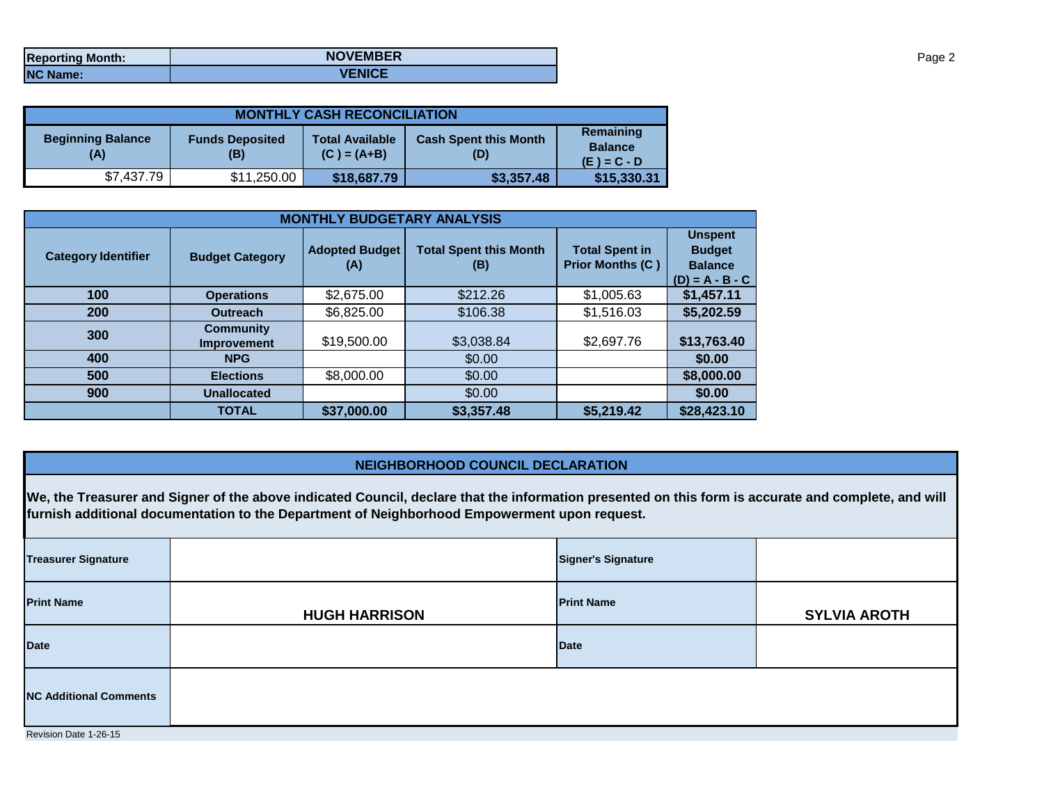| <b>Reporting Month:</b> | <b>NOVEMBER</b> |
|-------------------------|-----------------|
| <b>NC Name:</b>         | <b>VENICE</b>   |

| <b>MONTHLY CASH RECONCILIATION</b>                               |             |                                         |                                     |             |  |  |  |
|------------------------------------------------------------------|-------------|-----------------------------------------|-------------------------------------|-------------|--|--|--|
| <b>Beginning Balance</b><br><b>Funds Deposited</b><br>(A)<br>(B) |             | <b>Total Available</b><br>$(C) = (A+B)$ | <b>Cash Spent this Month</b><br>(D) |             |  |  |  |
| \$7,437.79                                                       | \$11,250.00 | \$18,687.79                             | \$3,357.48                          | \$15,330.31 |  |  |  |

| <b>MONTHLY BUDGETARY ANALYSIS</b> |                                        |                              |                                      |                                                  |                                                                        |  |  |
|-----------------------------------|----------------------------------------|------------------------------|--------------------------------------|--------------------------------------------------|------------------------------------------------------------------------|--|--|
| <b>Category Identifier</b>        | <b>Budget Category</b>                 | <b>Adopted Budget</b><br>(A) | <b>Total Spent this Month</b><br>(B) | <b>Total Spent in</b><br><b>Prior Months (C)</b> | <b>Unspent</b><br><b>Budget</b><br><b>Balance</b><br>$(D) = A - B - C$ |  |  |
| 100                               | <b>Operations</b>                      | \$2,675.00                   | \$212.26                             | \$1,005.63                                       | \$1,457.11                                                             |  |  |
| 200                               | <b>Outreach</b>                        | \$6,825.00                   | \$106.38                             | \$1,516.03                                       | \$5,202.59                                                             |  |  |
| 300                               | <b>Community</b><br><b>Improvement</b> | \$19,500.00                  | \$3,038.84                           | \$2,697.76                                       | \$13,763.40                                                            |  |  |
| 400                               | <b>NPG</b>                             |                              | \$0.00                               |                                                  | \$0.00                                                                 |  |  |
| 500                               | <b>Elections</b>                       | \$8,000.00                   | \$0.00                               |                                                  | \$8,000.00                                                             |  |  |
| 900                               | <b>Unallocated</b>                     |                              | \$0.00                               |                                                  | \$0.00                                                                 |  |  |
|                                   | <b>TOTAL</b>                           | \$37,000.00                  | \$3,357.48                           | \$5,219.42                                       | \$28,423.10                                                            |  |  |

## **NEIGHBORHOOD COUNCIL DECLARATION**

**We, the Treasurer and Signer of the above indicated Council, declare that the information presented on this form is accurate and complete, and will furnish additional documentation to the Department of Neighborhood Empowerment upon request.**

| <b>Treasurer Signature</b>    |                      | <b>Signer's Signature</b> |                     |  |  |  |
|-------------------------------|----------------------|---------------------------|---------------------|--|--|--|
| <b>Print Name</b>             | <b>HUGH HARRISON</b> | <b>Print Name</b>         | <b>SYLVIA AROTH</b> |  |  |  |
| <b>Date</b>                   |                      | <b>Date</b>               |                     |  |  |  |
| <b>NC Additional Comments</b> |                      |                           |                     |  |  |  |
| Revision Date 1-26-15         |                      |                           |                     |  |  |  |